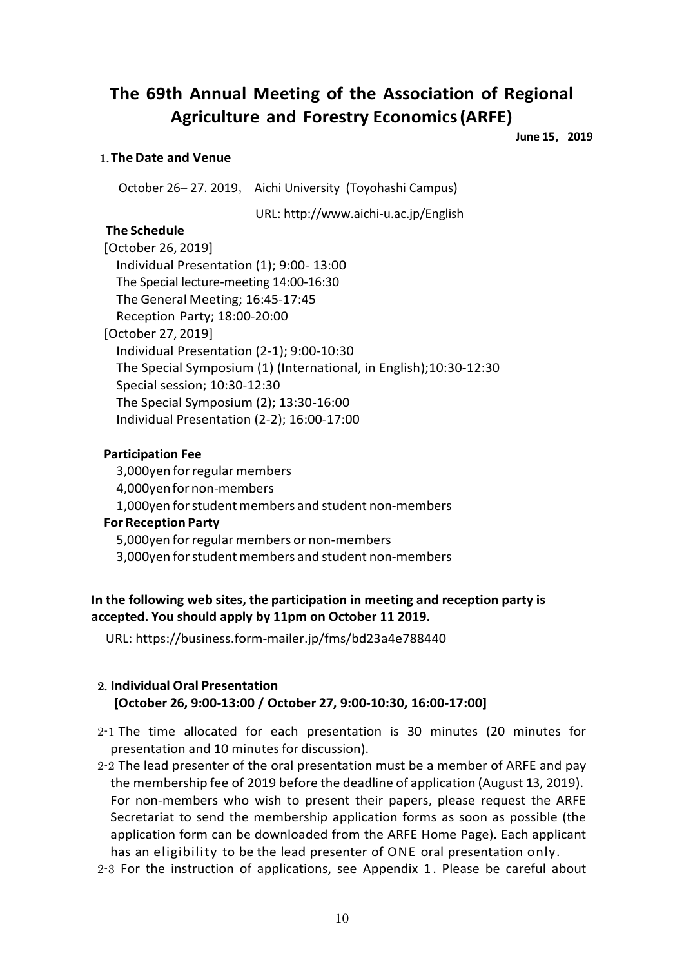# **The 69th Annual Meeting of the Association of Regional Agriculture and Forestry Economics(ARFE)**

**June 15**,**2019**

#### 1.**TheDate and Venue**

October 26– 27. 2019, Aichi University (Toyohashi Campus)

URL: http://www.aichi-u.ac.jp/English

#### **The Schedule**

| [October 26, 2019]                                                 |
|--------------------------------------------------------------------|
| Individual Presentation (1); 9:00-13:00                            |
| The Special lecture-meeting 14:00-16:30                            |
| The General Meeting; 16:45-17:45                                   |
| Reception Party; 18:00-20:00                                       |
| [October 27, 2019]                                                 |
| Individual Presentation (2-1); 9:00-10:30                          |
| The Special Symposium (1) (International, in English); 10:30-12:30 |
| Special session; 10:30-12:30                                       |
| The Special Symposium (2); 13:30-16:00                             |
| Individual Presentation (2-2); 16:00-17:00                         |

#### **Participation Fee**

3,000yen forregularmembers 4,000yenfor non-members 1,000 yen for student members and student non-members **For Reception Party** 5,000yen forregular members or non-members 3,000 yen for student members and student non-members

## **In the following web sites, the participation in meeting and reception party is accepted. You should apply by 11pm on October 11 2019.**

URL: https://business.form-mailer.jp/fms/bd23a4e788440

## 2. **Individual Oral Presentation [October 26, 9:00-13:00 / October 27, 9:00-10:30, 16:00-17:00]**

- 2-1 The time allocated for each presentation is 30 minutes (20 minutes for presentation and 10 minutes for discussion).
- 2-2 The lead presenter of the oral presentation must be a member of ARFE and pay the membership fee of 2019 before the deadline of application (August 13, 2019). For non-members who wish to present their papers, please request the ARFE Secretariat to send the membership application forms as soon as possible (the application form can be downloaded from the ARFE Home Page). Each applicant has an eligibility to be the lead presenter of ONE oral presentation only.
- 2-3 For the instruction of applications, see Appendix 1 . Please be careful about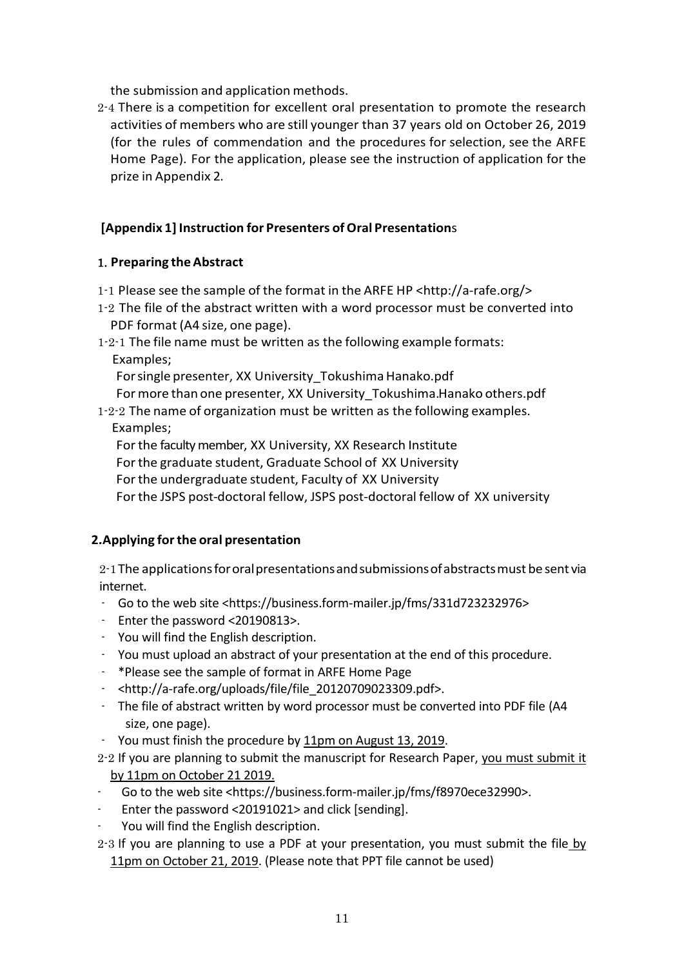the submission and application methods.

2-4 There is a competition for excellent oral presentation to promote the research activities of members who are still younger than 37 years old on October 26, 2019 (for the rules of commendation and the procedures for selection, see the ARFE Home Page). For the application, please see the instruction of application for the prize in Appendix 2.

# **[Appendix 1] Instruction for Presenters ofOral Presentation**s

## 1. **Preparing theAbstract**

- 1-1 Please see the sample of the format in the ARFE HP <http://a-rafe.org/>
- 1-2 The file of the abstract written with a word processor must be converted into PDF format (A4 size, one page).
- 1-2-1 The file name must be written as the following example formats: Examples;

For single presenter, XX University Tokushima Hanako.pdf For more than one presenter, XX University Tokushima.Hanako others.pdf

1-2-2 The name of organization must be written as the following examples. Examples;

For the faculty member, XX University, XX Research Institute

For the graduate student, Graduate School of XX University

For the undergraduate student, Faculty of XX University

Forthe JSPS post-doctoral fellow, JSPS post-doctoral fellow of XX university

# **2.Applying forthe oral presentation**

2-1The applicationsfororalpresentationsandsubmissionsofabstractsmust be sent via internet.

- Go to the web site <https://business.form-mailer.jp/fms/331d723232976>
- Enter the password <20190813>.
- You will find the English description.
- You must upload an abstract of your presentation at the end of this procedure.
- \*Please see the sample of format in ARFE Home Page
- <http://a-rafe.org/uploads/file/file\_20120709023309.pdf>.
- The file of abstract written by word processor must be converted into PDF file (A4 size, one page).
- You must finish the procedure by 11pm on August 13, 2019.
- 2-2 If you are planning to submit the manuscript for Research Paper, you must submit it by 11pm on October 21 2019.
- Go to the web site <https://business.form-mailer.jp/fms/f8970ece32990>.
- Enter the password <20191021> and click [sending].
- You will find the English description.
- $2-3$  If you are planning to use a PDF at your presentation, you must submit the file by 11pm on October 21, 2019. (Please note that PPT file cannot be used)